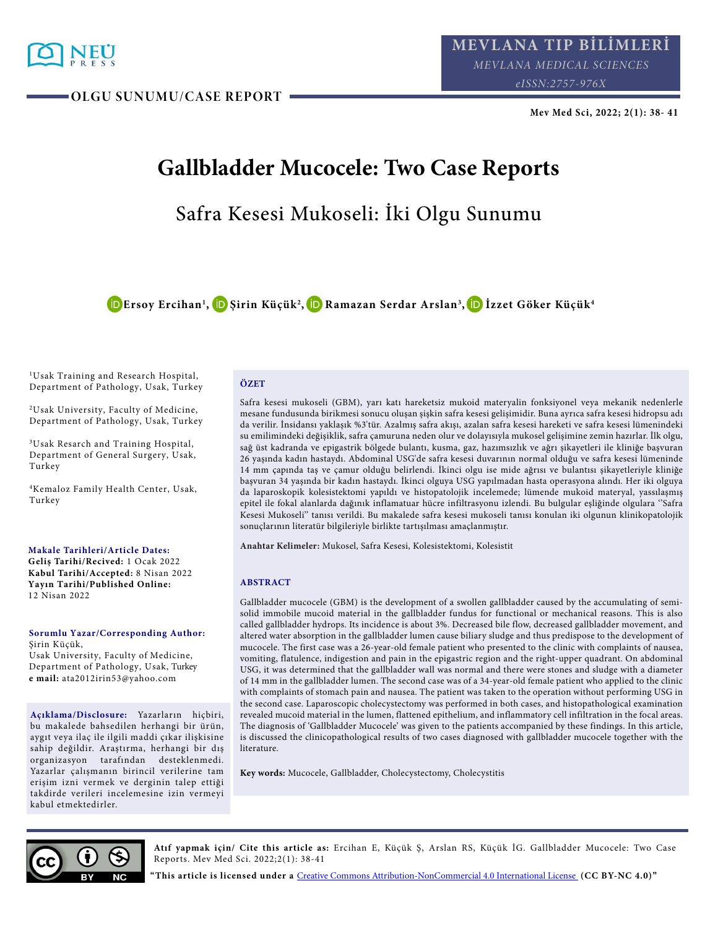

**OLGU SUNUMU/CASE REPORT** 

**Mev Med Sci, 2022; 2(1): 38- 41**

# **Gallbladder Mucocele: Two Case Reports**

## Safra Kesesi Mukoseli: İki Olgu Sunumu

**[E](http://orcid.org/0000-0002-3690-5886)rsoy Ercihan1 [, Ş](http://orcid.org/0000-0002-8552-2101)irin Küçük2 [, R](http://orcid.org/0000-0002-3139-9531)amazan Serdar Arslan3 [, İ](http://orcid.org/0000-0003-3353-5848)zzet Göker Küçük4**

<sup>1</sup>Usak Training and Research Hospital, Department of Pathology, Usak, Turkey

<sup>2</sup>Usak University, Faculty of Medicine, Department of Pathology, Usak, Turkey

<sup>3</sup>Usak Resarch and Training Hospital, Department of General Surgery, Usak, Turkey

<sup>4</sup>Kemaloz Family Health Center, Usak, Turkey

**Makale Tarihleri/Article Dates: Geliş Tarihi/Recived:** 1 Ocak 2022 **Kabul Tarihi/Accepted:** 8 Nisan 2022 **Yayın Tarihi/Published Online:**  12 Nisan 2022

**Sorumlu Yazar/Corresponding Author:** Şirin Küçük,

Usak University, Faculty of Medicine, Department of Pathology, Usak, Turkey **e mail:** ata2012irin53@yahoo.com

**Açıklama/Disclosure:** Yazarların hiçbiri, bu makalede bahsedilen herhangi bir ürün, aygıt veya ilaç ile ilgili maddi çıkar ilişkisine sahip değildir. Araştırma, herhangi bir dış organizasyon tarafından desteklenmedi. Yazarlar çalışmanın birincil verilerine tam erişim izni vermek ve derginin talep ettiği takdirde verileri incelemesine izin vermeyi kabul etmektedirler.

#### **ÖZET**

Safra kesesi mukoseli (GBM), yarı katı hareketsiz mukoid materyalin fonksiyonel veya mekanik nedenlerle mesane fundusunda birikmesi sonucu oluşan şişkin safra kesesi gelişimidir. Buna ayrıca safra kesesi hidropsu adı da verilir. İnsidansı yaklaşık %3'tür. Azalmış safra akışı, azalan safra kesesi hareketi ve safra kesesi lümenindeki su emilimindeki değişiklik, safra çamuruna neden olur ve dolayısıyla mukosel gelişimine zemin hazırlar. İlk olgu, sağ üst kadranda ve epigastrik bölgede bulantı, kusma, gaz, hazımsızlık ve ağrı şikayetleri ile kliniğe başvuran 26 yaşında kadın hastaydı. Abdominal USG'de safra kesesi duvarının normal olduğu ve safra kesesi lümeninde 14 mm çapında taş ve çamur olduğu belirlendi. İkinci olgu ise mide ağrısı ve bulantısı şikayetleriyle kliniğe başvuran 34 yaşında bir kadın hastaydı. İkinci olguya USG yapılmadan hasta operasyona alındı. Her iki olguya da laparoskopik kolesistektomi yapıldı ve histopatolojik incelemede; lümende mukoid materyal, yassılaşmış epitel ile fokal alanlarda dağınık inflamatuar hücre infiltrasyonu izlendi. Bu bulgular eşliğinde olgulara ''Safra Kesesi Mukoseli'' tanısı verildi. Bu makalede safra kesesi mukoseli tanısı konulan iki olgunun klinikopatolojik sonuçlarının literatür bilgileriyle birlikte tartışılması amaçlanmıştır.

**Anahtar Kelimeler:** Mukosel, Safra Kesesi, Kolesistektomi, Kolesistit

#### **ABSTRACT**

Gallbladder mucocele (GBM) is the development of a swollen gallbladder caused by the accumulating of semisolid immobile mucoid material in the gallbladder fundus for functional or mechanical reasons. This is also called gallbladder hydrops. Its incidence is about 3%. Decreased bile flow, decreased gallbladder movement, and altered water absorption in the gallbladder lumen cause biliary sludge and thus predispose to the development of mucocele. The first case was a 26-year-old female patient who presented to the clinic with complaints of nausea, vomiting, flatulence, indigestion and pain in the epigastric region and the right-upper quadrant. On abdominal USG, it was determined that the gallbladder wall was normal and there were stones and sludge with a diameter of 14 mm in the gallbladder lumen. The second case was of a 34-year-old female patient who applied to the clinic with complaints of stomach pain and nausea. The patient was taken to the operation without performing USG in the second case. Laparoscopic cholecystectomy was performed in both cases, and histopathological examination revealed mucoid material in the lumen, flattened epithelium, and inflammatory cell infiltration in the focal areas. The diagnosis of 'Gallbladder Mucocele' was given to the patients accompanied by these findings. In this article, is discussed the clinicopathological results of two cases diagnosed with gallbladder mucocele together with the literature.

**Key words:** Mucocele, Gallbladder, Cholecystectomy, Cholecystitis



**Atıf yapmak için/ Cite this article as:** Ercihan E, Küçük Ş, Arslan RS, Küçük İG. Gallbladder Mucocele: Two Case Reports. Mev Med Sci. 2022;2(1): 38-41

**"This article is licensed under a** [Creative Commons Attribution-NonCommercial 4.0 International License](https://creativecommons.org/licenses/by-nc/4.0/) **(CC BY-NC 4.0)"**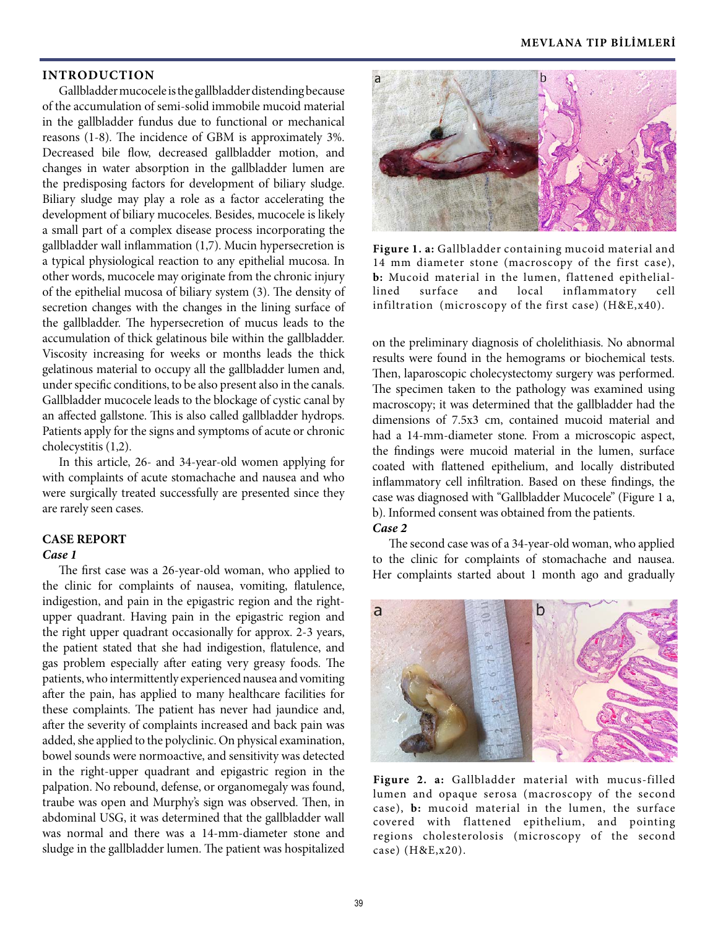## **INTRODUCTION**

Gallbladder mucocele is the gallbladder distending because of the accumulation of semi-solid immobile mucoid material in the gallbladder fundus due to functional or mechanical reasons (1-8). The incidence of GBM is approximately 3%. Decreased bile flow, decreased gallbladder motion, and changes in water absorption in the gallbladder lumen are the predisposing factors for development of biliary sludge. Biliary sludge may play a role as a factor accelerating the development of biliary mucoceles. Besides, mucocele is likely a small part of a complex disease process incorporating the gallbladder wall inflammation (1,7). Mucin hypersecretion is a typical physiological reaction to any epithelial mucosa. In other words, mucocele may originate from the chronic injury of the epithelial mucosa of biliary system (3). The density of secretion changes with the changes in the lining surface of the gallbladder. The hypersecretion of mucus leads to the accumulation of thick gelatinous bile within the gallbladder. Viscosity increasing for weeks or months leads the thick gelatinous material to occupy all the gallbladder lumen and, under specific conditions, to be also present also in the canals. Gallbladder mucocele leads to the blockage of cystic canal by an affected gallstone. This is also called gallbladder hydrops. Patients apply for the signs and symptoms of acute or chronic cholecystitis (1,2).

In this article, 26- and 34-year-old women applying for with complaints of acute stomachache and nausea and who were surgically treated successfully are presented since they are rarely seen cases.

#### **CASE REPORT**

## *Case 1*

The first case was a 26-year-old woman, who applied to the clinic for complaints of nausea, vomiting, flatulence, indigestion, and pain in the epigastric region and the rightupper quadrant. Having pain in the epigastric region and the right upper quadrant occasionally for approx. 2-3 years, the patient stated that she had indigestion, flatulence, and gas problem especially after eating very greasy foods. The patients, who intermittently experienced nausea and vomiting after the pain, has applied to many healthcare facilities for these complaints. The patient has never had jaundice and, after the severity of complaints increased and back pain was added, she applied to the polyclinic. On physical examination, bowel sounds were normoactive, and sensitivity was detected in the right-upper quadrant and epigastric region in the palpation. No rebound, defense, or organomegaly was found, traube was open and Murphy's sign was observed. Then, in abdominal USG, it was determined that the gallbladder wall was normal and there was a 14-mm-diameter stone and sludge in the gallbladder lumen. The patient was hospitalized



**Figure 1. a:** Gallbladder containing mucoid material and 14 mm diameter stone (macroscopy of the first case), **b:** Mucoid material in the lumen, flattened epitheliallined surface and local inflammatory cell infiltration (microscopy of the first case) (H&E,x40).

on the preliminary diagnosis of cholelithiasis. No abnormal results were found in the hemograms or biochemical tests. Then, laparoscopic cholecystectomy surgery was performed. The specimen taken to the pathology was examined using macroscopy; it was determined that the gallbladder had the dimensions of 7.5x3 cm, contained mucoid material and had a 14-mm-diameter stone. From a microscopic aspect, the findings were mucoid material in the lumen, surface coated with flattened epithelium, and locally distributed inflammatory cell infiltration. Based on these findings, the case was diagnosed with "Gallbladder Mucocele" (Figure 1 a, b). Informed consent was obtained from the patients.

## *Case 2*

The second case was of a 34-year-old woman, who applied to the clinic for complaints of stomachache and nausea. Her complaints started about 1 month ago and gradually



**Figure 2. a:** Gallbladder material with mucus-filled lumen and opaque serosa (macroscopy of the second case), **b:** mucoid material in the lumen, the surface covered with flattened epithelium, and pointing regions cholesterolosis (microscopy of the second case) (H&E,x20).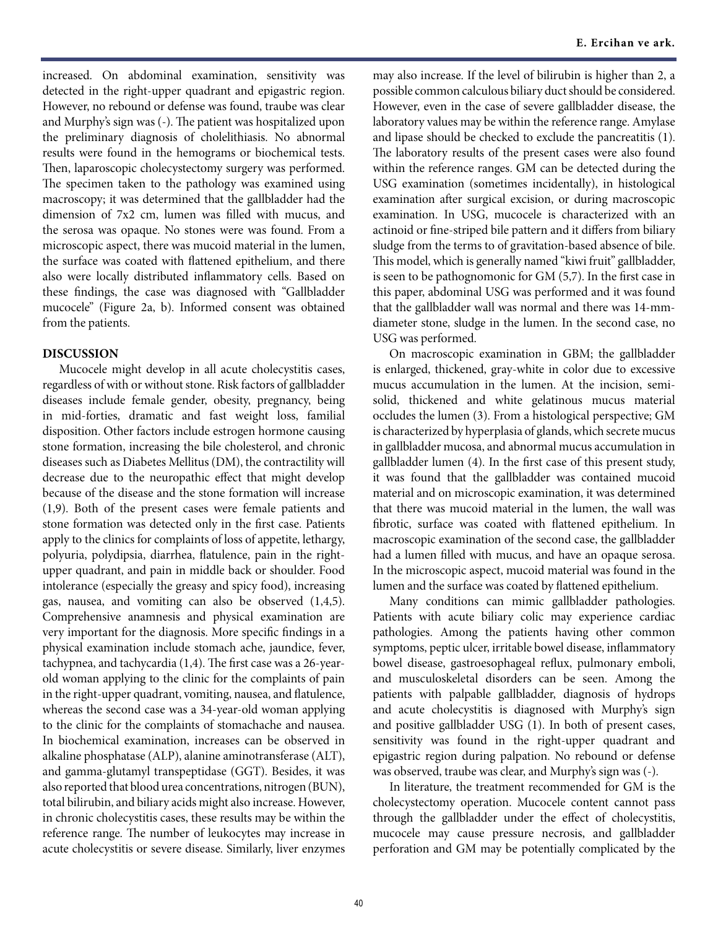increased. On abdominal examination, sensitivity was detected in the right-upper quadrant and epigastric region. However, no rebound or defense was found, traube was clear and Murphy's sign was (-). The patient was hospitalized upon the preliminary diagnosis of cholelithiasis. No abnormal results were found in the hemograms or biochemical tests. Then, laparoscopic cholecystectomy surgery was performed. The specimen taken to the pathology was examined using macroscopy; it was determined that the gallbladder had the dimension of 7x2 cm, lumen was filled with mucus, and the serosa was opaque. No stones were was found. From a microscopic aspect, there was mucoid material in the lumen, the surface was coated with flattened epithelium, and there also were locally distributed inflammatory cells. Based on these findings, the case was diagnosed with "Gallbladder mucocele" (Figure 2a, b). Informed consent was obtained from the patients.

## **DISCUSSION**

Mucocele might develop in all acute cholecystitis cases, regardless of with or without stone. Risk factors of gallbladder diseases include female gender, obesity, pregnancy, being in mid-forties, dramatic and fast weight loss, familial disposition. Other factors include estrogen hormone causing stone formation, increasing the bile cholesterol, and chronic diseases such as Diabetes Mellitus (DM), the contractility will decrease due to the neuropathic effect that might develop because of the disease and the stone formation will increase (1,9). Both of the present cases were female patients and stone formation was detected only in the first case. Patients apply to the clinics for complaints of loss of appetite, lethargy, polyuria, polydipsia, diarrhea, flatulence, pain in the rightupper quadrant, and pain in middle back or shoulder. Food intolerance (especially the greasy and spicy food), increasing gas, nausea, and vomiting can also be observed (1,4,5). Comprehensive anamnesis and physical examination are very important for the diagnosis. More specific findings in a physical examination include stomach ache, jaundice, fever, tachypnea, and tachycardia (1,4). The first case was a 26-yearold woman applying to the clinic for the complaints of pain in the right-upper quadrant, vomiting, nausea, and flatulence, whereas the second case was a 34-year-old woman applying to the clinic for the complaints of stomachache and nausea. In biochemical examination, increases can be observed in alkaline phosphatase (ALP), alanine aminotransferase (ALT), and gamma-glutamyl transpeptidase (GGT). Besides, it was also reported that blood urea concentrations, nitrogen (BUN), total bilirubin, and biliary acids might also increase. However, in chronic cholecystitis cases, these results may be within the reference range. The number of leukocytes may increase in acute cholecystitis or severe disease. Similarly, liver enzymes

may also increase. If the level of bilirubin is higher than 2, a possible common calculous biliary duct should be considered. However, even in the case of severe gallbladder disease, the laboratory values may be within the reference range. Amylase and lipase should be checked to exclude the pancreatitis (1). The laboratory results of the present cases were also found within the reference ranges. GM can be detected during the USG examination (sometimes incidentally), in histological examination after surgical excision, or during macroscopic examination. In USG, mucocele is characterized with an actinoid or fine-striped bile pattern and it differs from biliary sludge from the terms to of gravitation-based absence of bile. This model, which is generally named "kiwi fruit" gallbladder, is seen to be pathognomonic for GM (5,7). In the first case in this paper, abdominal USG was performed and it was found that the gallbladder wall was normal and there was 14-mmdiameter stone, sludge in the lumen. In the second case, no USG was performed.

On macroscopic examination in GBM; the gallbladder is enlarged, thickened, gray-white in color due to excessive mucus accumulation in the lumen. At the incision, semisolid, thickened and white gelatinous mucus material occludes the lumen (3). From a histological perspective; GM is characterized by hyperplasia of glands, which secrete mucus in gallbladder mucosa, and abnormal mucus accumulation in gallbladder lumen (4). In the first case of this present study, it was found that the gallbladder was contained mucoid material and on microscopic examination, it was determined that there was mucoid material in the lumen, the wall was fibrotic, surface was coated with flattened epithelium. In macroscopic examination of the second case, the gallbladder had a lumen filled with mucus, and have an opaque serosa. In the microscopic aspect, mucoid material was found in the lumen and the surface was coated by flattened epithelium.

Many conditions can mimic gallbladder pathologies. Patients with acute biliary colic may experience cardiac pathologies. Among the patients having other common symptoms, peptic ulcer, irritable bowel disease, inflammatory bowel disease, gastroesophageal reflux, pulmonary emboli, and musculoskeletal disorders can be seen. Among the patients with palpable gallbladder, diagnosis of hydrops and acute cholecystitis is diagnosed with Murphy's sign and positive gallbladder USG (1). In both of present cases, sensitivity was found in the right-upper quadrant and epigastric region during palpation. No rebound or defense was observed, traube was clear, and Murphy's sign was (-).

In literature, the treatment recommended for GM is the cholecystectomy operation. Mucocele content cannot pass through the gallbladder under the effect of cholecystitis, mucocele may cause pressure necrosis, and gallbladder perforation and GM may be potentially complicated by the